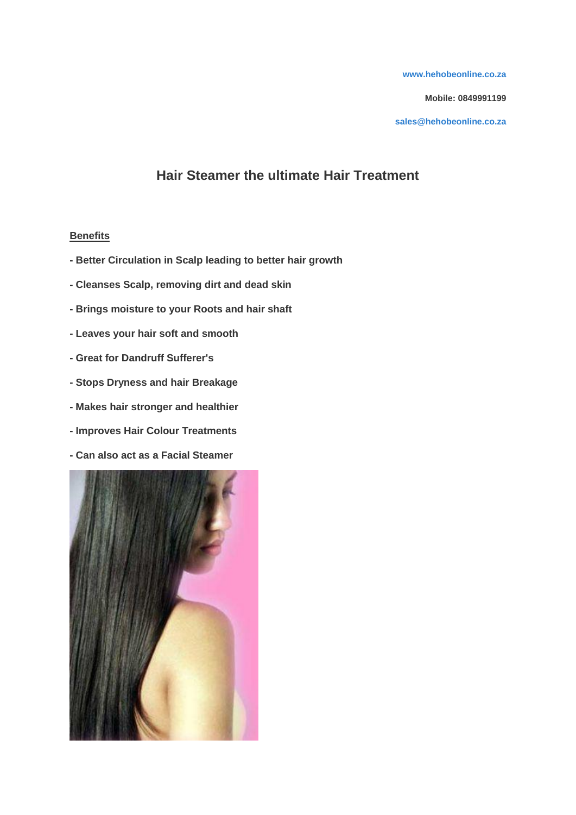**[www.hehobeonline.co.za](http://www.hehobeonline.co.za/)**

**Mobile: 0849991199**

**[sales@hehobeonline.co.za](mailto:sales@hehobeonline.co.za)**

# **Hair Steamer the ultimate Hair Treatment**

#### **Benefits**

- **- Better Circulation in Scalp leading to better hair growth**
- **- Cleanses Scalp, removing dirt and dead skin**
- **- Brings moisture to your Roots and hair shaft**
- **- Leaves your hair soft and smooth**
- **- Great for Dandruff Sufferer's**
- **- Stops Dryness and hair Breakage**
- **- Makes hair stronger and healthier**
- **- Improves Hair Colour Treatments**
- **- Can also act as a Facial Steamer**

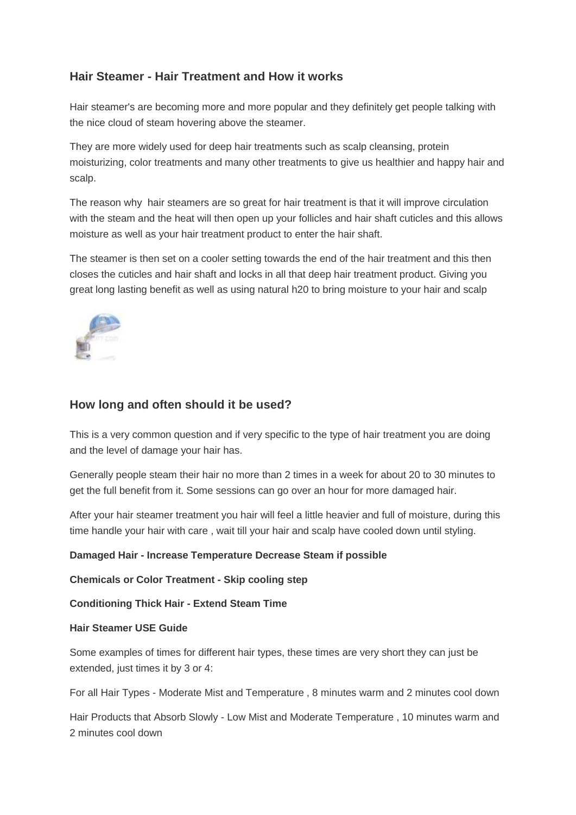## **Hair Steamer - Hair Treatment and How it works**

Hair steamer's are becoming more and more popular and they definitely get people talking with the nice cloud of steam hovering above the steamer.

They are more widely used for deep hair treatments such as scalp cleansing, protein moisturizing, color treatments and many other treatments to give us healthier and happy hair and scalp.

The reason why hair steamers are so great for hair treatment is that it will improve circulation with the steam and the heat will then open up your follicles and hair shaft cuticles and this allows moisture as well as your hair treatment product to enter the hair shaft.

The steamer is then set on a cooler setting towards the end of the hair treatment and this then closes the cuticles and hair shaft and locks in all that deep hair treatment product. Giving you great long lasting benefit as well as using natural h20 to bring moisture to your hair and scalp



## **How long and often should it be used?**

This is a very common question and if very specific to the type of hair treatment you are doing and the level of damage your hair has.

Generally people steam their hair no more than 2 times in a week for about 20 to 30 minutes to get the full benefit from it. Some sessions can go over an hour for more damaged hair.

After your hair steamer treatment you hair will feel a little heavier and full of moisture, during this time handle your hair with care , wait till your hair and scalp have cooled down until styling.

#### **Damaged Hair - Increase Temperature Decrease Steam if possible**

**Chemicals or Color Treatment - Skip cooling step**

**Conditioning Thick Hair - Extend Steam Time**

#### **Hair Steamer USE Guide**

Some examples of times for different hair types, these times are very short they can just be extended, just times it by 3 or 4:

For all Hair Types - Moderate Mist and Temperature , 8 minutes warm and 2 minutes cool down

Hair Products that Absorb Slowly - Low Mist and Moderate Temperature , 10 minutes warm and 2 minutes cool down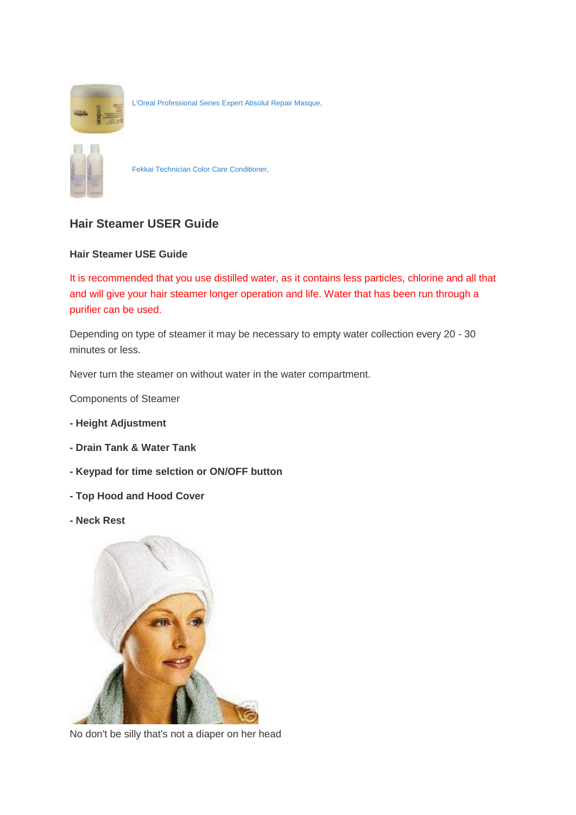

[L'Oreal Professional Series Expert Absolut Repair Masque,](http://www.amazon.com/LOreal-Professional-Expert-Absolut-6-7-Ounce/dp/B000KQ9TME%3FSubscriptionId%3D14H876SFAKFS0EHBYQ02%26tag%3Dhubpages-20%26linkCode%3Dxm2%26camp%3D2025%26creative%3D165953%26creativeASIN%3DB000KQ9TME)



[Fekkai Technician Color Care Conditioner,](http://www.amazon.com/Fekkai-Technician-Color-Care-Conditioner/dp/B000XQUE2U%3FSubscriptionId%3D14H876SFAKFS0EHBYQ02%26tag%3Dhubpages-20%26linkCode%3Dxm2%26camp%3D2025%26creative%3D165953%26creativeASIN%3DB000XQUE2U)

# **Hair Steamer USER Guide**

#### **Hair Steamer USE Guide**

It is recommended that you use distilled water, as it contains less particles, chlorine and all that and will give your hair steamer longer operation and life. Water that has been run through a purifier can be used.

Depending on type of steamer it may be necessary to empty water collection every 20 - 30 minutes or less.

Never turn the steamer on without water in the water compartment.

Components of Steamer

- **- Height Adjustment**
- **- Drain Tank & Water Tank**
- **- Keypad for time selction or ON/OFF button**
- **- Top Hood and Hood Cover**
- **- Neck Rest**



No don't be silly that's not a diaper on her head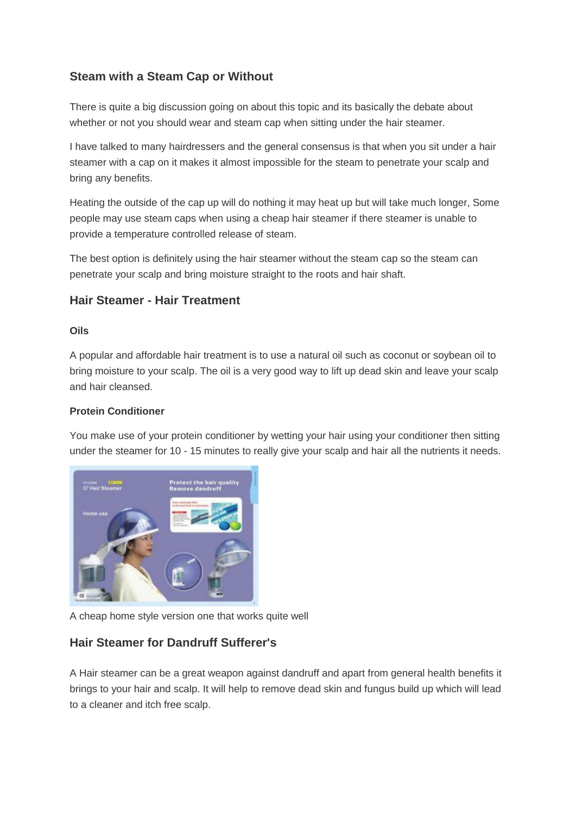# **Steam with a Steam Cap or Without**

There is quite a big discussion going on about this topic and its basically the debate about whether or not you should wear and steam cap when sitting under the hair steamer.

I have talked to many hairdressers and the general consensus is that when you sit under a hair steamer with a cap on it makes it almost impossible for the steam to penetrate your scalp and bring any benefits.

Heating the outside of the cap up will do nothing it may heat up but will take much longer, Some people may use steam caps when using a cheap hair steamer if there steamer is unable to provide a temperature controlled release of steam.

The best option is definitely using the hair steamer without the steam cap so the steam can penetrate your scalp and bring moisture straight to the roots and hair shaft.

## **Hair Steamer - Hair Treatment**

#### **Oils**

A popular and affordable hair treatment is to use a natural oil such as coconut or soybean oil to bring moisture to your scalp. The oil is a very good way to lift up dead skin and leave your scalp and hair cleansed.

#### **Protein Conditioner**

You make use of your protein conditioner by wetting your hair using your conditioner then sitting under the steamer for 10 - 15 minutes to really give your scalp and hair all the nutrients it needs.



A cheap home style version one that works quite well

## **Hair Steamer for Dandruff Sufferer's**

A Hair steamer can be a great weapon against dandruff and apart from general health benefits it brings to your hair and scalp. It will help to remove dead skin and fungus build up which will lead to a cleaner and itch free scalp.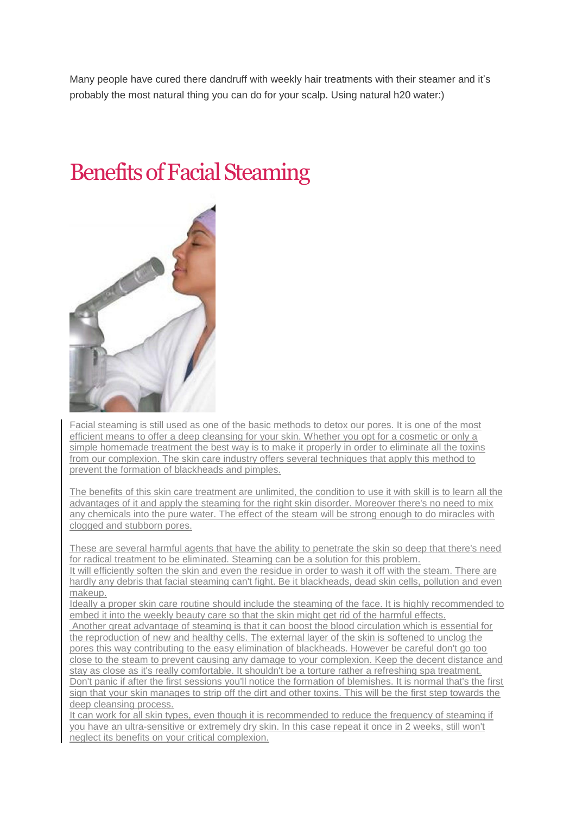Many people have cured there dandruff with weekly hair treatments with their steamer and it's probably the most natural thing you can do for your scalp. Using natural h20 water:)

# Benefits of Facial Steaming



Facial steaming is still used as one of the basic methods to detox our pores. It is one of the most efficient means to offer a deep cleansing for your skin. Whether you opt for a cosmetic or only a simple homemade treatment the best way is to make it properly in order to eliminate all the toxins from our complexion. The skin care industry offers several techniques that apply this method to prevent the formation of blackheads and pimples.

The benefits of this skin care treatment are unlimited, the condition to use it with skill is to learn all the advantages of it and apply the steaming for the right skin disorder. Moreover there's no need to mix any chemicals into the pure water. The effect of the steam will be strong enough to do miracles with clogged and stubborn pores.

These are several harmful agents that have the ability to penetrate the skin so deep that there's need for radical treatment to be eliminated. Steaming can be a solution for this problem.

It will efficiently soften the skin and even the residue in order to wash it off with the steam. There are hardly any debris that facial steaming can't fight. Be it blackheads, dead skin cells, pollution and even makeup.

Ideally a proper skin care routine should include the steaming of the face. It is highly recommended to embed it into the weekly beauty care so that the skin might get rid of the harmful effects.

Another great advantage of steaming is that it can boost the blood circulation which is essential for the reproduction of new and healthy cells. The external layer of the skin is softened to unclog the pores this way contributing to the easy elimination of blackheads. However be careful don't go too close to the steam to prevent causing any damage to your complexion. Keep the decent distance and stay as close as it's really comfortable. It shouldn't be a torture rather a refreshing spa treatment. Don't panic if after the first sessions you'll notice the formation of blemishes. It is normal that's the first sign that your skin manages to strip off the dirt and other toxins. This will be the first step towards the deep cleansing process.

It can work for all skin types, even though it is recommended to reduce the frequency of steaming if you have an ultra-sensitive or extremely dry skin. In this case repeat it once in 2 weeks, still won't neglect its benefits on your critical complexion.